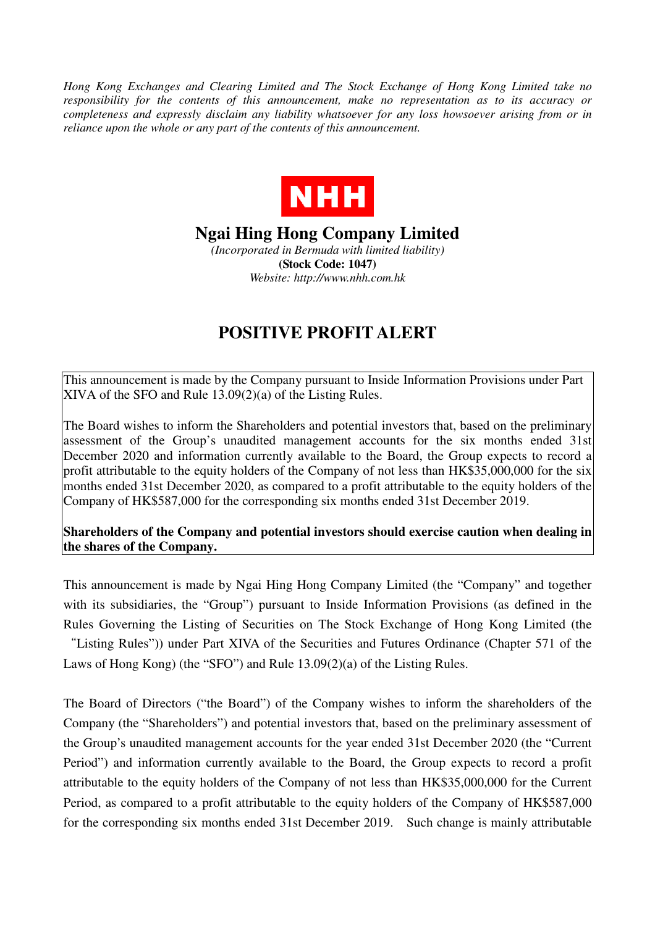*Hong Kong Exchanges and Clearing Limited and The Stock Exchange of Hong Kong Limited take no responsibility for the contents of this announcement, make no representation as to its accuracy or completeness and expressly disclaim any liability whatsoever for any loss howsoever arising from or in reliance upon the whole or any part of the contents of this announcement.* 



## **Ngai Hing Hong Company Limited**

*(Incorporated in Bermuda with limited liability)*  **(Stock Code: 1047)**  *Website: http://www.nhh.com.hk* 

## **POSITIVE PROFIT ALERT**

This announcement is made by the Company pursuant to Inside Information Provisions under Part XIVA of the SFO and Rule 13.09(2)(a) of the Listing Rules.

The Board wishes to inform the Shareholders and potential investors that, based on the preliminary assessment of the Group's unaudited management accounts for the six months ended 31st December 2020 and information currently available to the Board, the Group expects to record a profit attributable to the equity holders of the Company of not less than HK\$35,000,000 for the six months ended 31st December 2020, as compared to a profit attributable to the equity holders of the Company of HK\$587,000 for the corresponding six months ended 31st December 2019.

## **Shareholders of the Company and potential investors should exercise caution when dealing in the shares of the Company.**

This announcement is made by Ngai Hing Hong Company Limited (the "Company" and together with its subsidiaries, the "Group") pursuant to Inside Information Provisions (as defined in the Rules Governing the Listing of Securities on The Stock Exchange of Hong Kong Limited (the "Listing Rules")) under Part XIVA of the Securities and Futures Ordinance (Chapter 571 of the

Laws of Hong Kong) (the "SFO") and Rule 13.09(2)(a) of the Listing Rules.

The Board of Directors ("the Board") of the Company wishes to inform the shareholders of the Company (the "Shareholders") and potential investors that, based on the preliminary assessment of the Group's unaudited management accounts for the year ended 31st December 2020 (the "Current Period") and information currently available to the Board, the Group expects to record a profit attributable to the equity holders of the Company of not less than HK\$35,000,000 for the Current Period, as compared to a profit attributable to the equity holders of the Company of HK\$587,000 for the corresponding six months ended 31st December 2019. Such change is mainly attributable